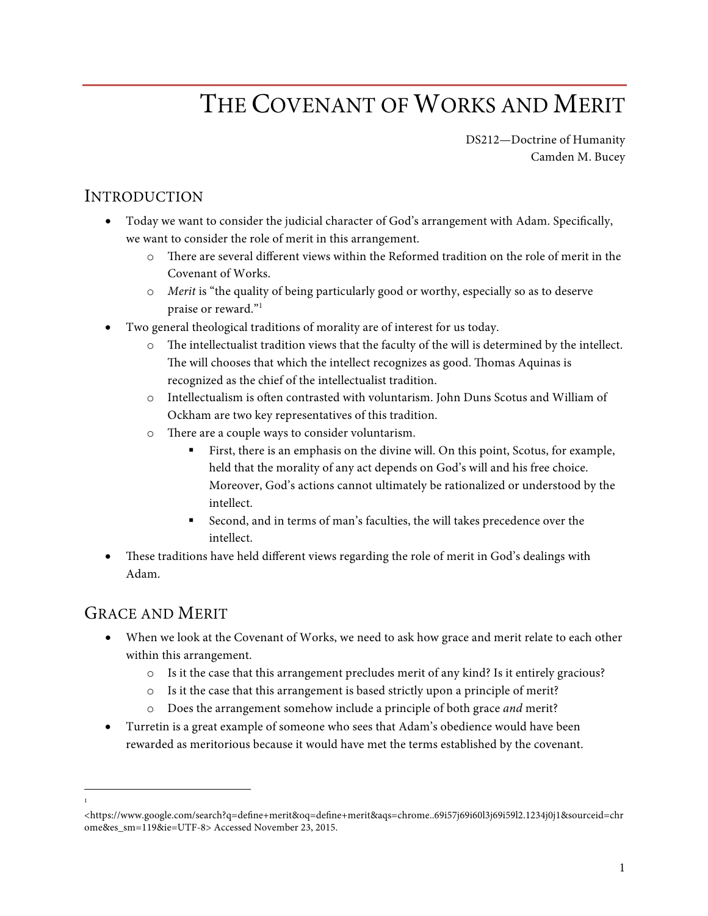# THE COVENANT OF WORKS AND MERIT

DS212—Doctrine of Humanity Camden M. Bucey

## INTRODUCTION

- Today we want to consider the judicial character of God's arrangement with Adam. Specifically, we want to consider the role of merit in this arrangement.
	- o There are several different views within the Reformed tradition on the role of merit in the Covenant of Works.
	- o *Merit* is "the quality of being particularly good or worthy, especially so as to deserve praise or reward."1
- Two general theological traditions of morality are of interest for us today.
	- o The intellectualist tradition views that the faculty of the will is determined by the intellect. The will chooses that which the intellect recognizes as good. Thomas Aquinas is recognized as the chief of the intellectualist tradition.
	- o Intellectualism is often contrasted with voluntarism. John Duns Scotus and William of Ockham are two key representatives of this tradition.
	- o There are a couple ways to consider voluntarism.
		- First, there is an emphasis on the divine will. On this point, Scotus, for example, held that the morality of any act depends on God's will and his free choice. Moreover, God's actions cannot ultimately be rationalized or understood by the intellect.
		- § Second, and in terms of man's faculties, the will takes precedence over the intellect.
- These traditions have held different views regarding the role of merit in God's dealings with Adam.

#### GRACE AND MERIT

 $\frac{1}{1}$ 

- When we look at the Covenant of Works, we need to ask how grace and merit relate to each other within this arrangement.
	- o Is it the case that this arrangement precludes merit of any kind? Is it entirely gracious?
	- o Is it the case that this arrangement is based strictly upon a principle of merit?
	- o Does the arrangement somehow include a principle of both grace *and* merit?
- Turretin is a great example of someone who sees that Adam's obedience would have been rewarded as meritorious because it would have met the terms established by the covenant.

<sup>&</sup>lt;https://www.google.com/search?q=define+merit&oq=define+merit&aqs=chrome..69i57j69i60l3j69i59l2.1234j0j1&sourceid=chr ome&es\_sm=119&ie=UTF-8> Accessed November 23, 2015.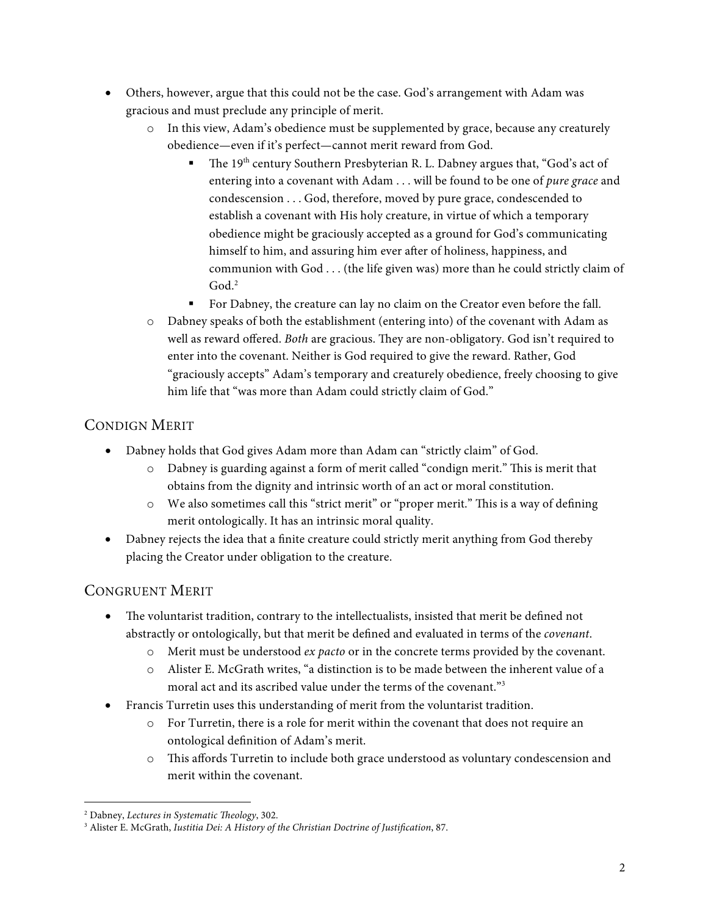- Others, however, argue that this could not be the case. God's arrangement with Adam was gracious and must preclude any principle of merit.
	- o In this view, Adam's obedience must be supplemented by grace, because any creaturely obedience—even if it's perfect—cannot merit reward from God.
		- The 19<sup>th</sup> century Southern Presbyterian R. L. Dabney argues that, "God's act of entering into a covenant with Adam . . . will be found to be one of *pure grace* and condescension . . . God, therefore, moved by pure grace, condescended to establish a covenant with His holy creature, in virtue of which a temporary obedience might be graciously accepted as a ground for God's communicating himself to him, and assuring him ever after of holiness, happiness, and communion with God . . . (the life given was) more than he could strictly claim of God. 2
		- **•** For Dabney, the creature can lay no claim on the Creator even before the fall.
	- o Dabney speaks of both the establishment (entering into) of the covenant with Adam as well as reward offered. *Both* are gracious. They are non-obligatory. God isn't required to enter into the covenant. Neither is God required to give the reward. Rather, God "graciously accepts" Adam's temporary and creaturely obedience, freely choosing to give him life that "was more than Adam could strictly claim of God."

#### CONDIGN MERIT

- Dabney holds that God gives Adam more than Adam can "strictly claim" of God.
	- o Dabney is guarding against a form of merit called "condign merit." This is merit that obtains from the dignity and intrinsic worth of an act or moral constitution.
	- o We also sometimes call this "strict merit" or "proper merit." This is a way of defining merit ontologically. It has an intrinsic moral quality.
- Dabney rejects the idea that a finite creature could strictly merit anything from God thereby placing the Creator under obligation to the creature.

#### CONGRUENT MERIT

- The voluntarist tradition, contrary to the intellectualists, insisted that merit be defined not abstractly or ontologically, but that merit be defined and evaluated in terms of the *covenant*.
	- o Merit must be understood *ex pacto* or in the concrete terms provided by the covenant.
	- o Alister E. McGrath writes, "a distinction is to be made between the inherent value of a moral act and its ascribed value under the terms of the covenant."3
- Francis Turretin uses this understanding of merit from the voluntarist tradition.
	- o For Turretin, there is a role for merit within the covenant that does not require an ontological definition of Adam's merit.
	- o This affords Turretin to include both grace understood as voluntary condescension and merit within the covenant.

 <sup>2</sup> Dabney, *Lectures in Systematic Theology*, 302.

<sup>3</sup> Alister E. McGrath, *Iustitia Dei: A History of the Christian Doctrine of Justification*, 87.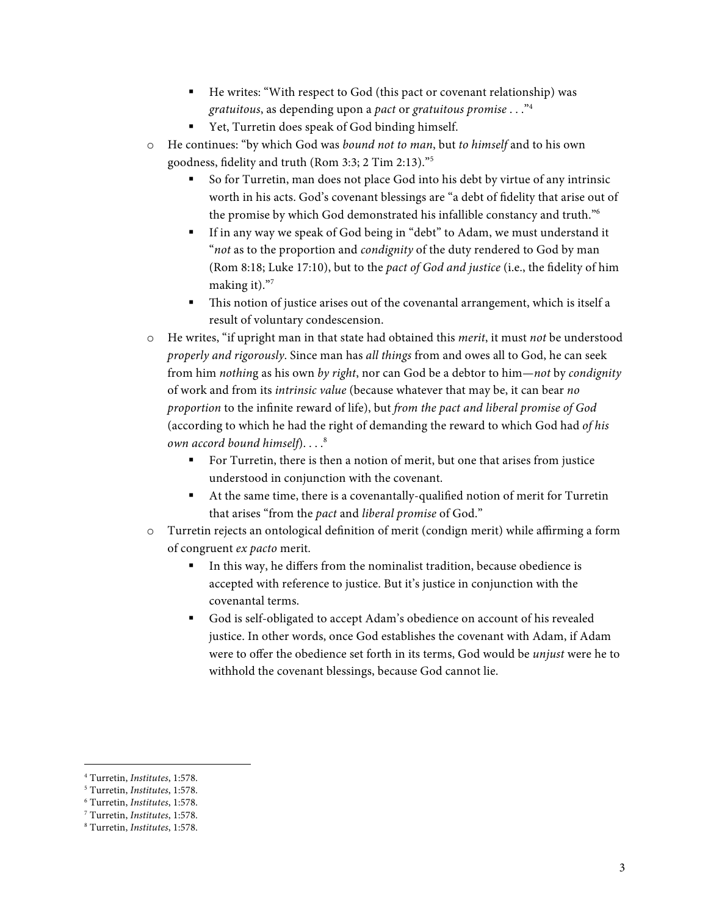- He writes: "With respect to God (this pact or covenant relationship) was *gratuitous*, as depending upon a *pact* or *gratuitous promise* . . ."4
- Yet, Turretin does speak of God binding himself.
- o He continues: "by which God was *bound not to man*, but *to himself* and to his own goodness, fidelity and truth (Rom 3:3; 2 Tim 2:13)."5
	- § So for Turretin, man does not place God into his debt by virtue of any intrinsic worth in his acts. God's covenant blessings are "a debt of fidelity that arise out of the promise by which God demonstrated his infallible constancy and truth."6
	- If in any way we speak of God being in "debt" to Adam, we must understand it "*not* as to the proportion and *condignity* of the duty rendered to God by man (Rom 8:18; Luke 17:10), but to the *pact of God and justice* (i.e., the fidelity of him making it)."7
	- This notion of justice arises out of the covenantal arrangement, which is itself a result of voluntary condescension.
- o He writes, "if upright man in that state had obtained this *merit*, it must *not* be understood *properly and rigorously*. Since man has *all things* from and owes all to God, he can seek from him *nothin*g as his own *by right*, nor can God be a debtor to him*—not* by *condignity* of work and from its *intrinsic value* (because whatever that may be, it can bear *no proportion* to the infinite reward of life), but *from the pact and liberal promise of God*  (according to which he had the right of demanding the reward to which God had *of his own accord bound himself*)....<sup>8</sup>
	- For Turretin, there is then a notion of merit, but one that arises from justice understood in conjunction with the covenant.
	- At the same time, there is a covenantally-qualified notion of merit for Turretin that arises "from the *pact* and *liberal promise* of God."
- o Turretin rejects an ontological definition of merit (condign merit) while affirming a form of congruent *ex pacto* merit.
	- In this way, he differs from the nominalist tradition, because obedience is accepted with reference to justice. But it's justice in conjunction with the covenantal terms.
	- § God is self-obligated to accept Adam's obedience on account of his revealed justice. In other words, once God establishes the covenant with Adam, if Adam were to offer the obedience set forth in its terms, God would be *unjust* were he to withhold the covenant blessings, because God cannot lie.

 <sup>4</sup> Turretin, *Institutes*, 1:578.

<sup>5</sup> Turretin, *Institutes*, 1:578.

<sup>6</sup> Turretin, *Institutes*, 1:578.

<sup>7</sup> Turretin, *Institutes*, 1:578.

<sup>8</sup> Turretin, *Institutes*, 1:578.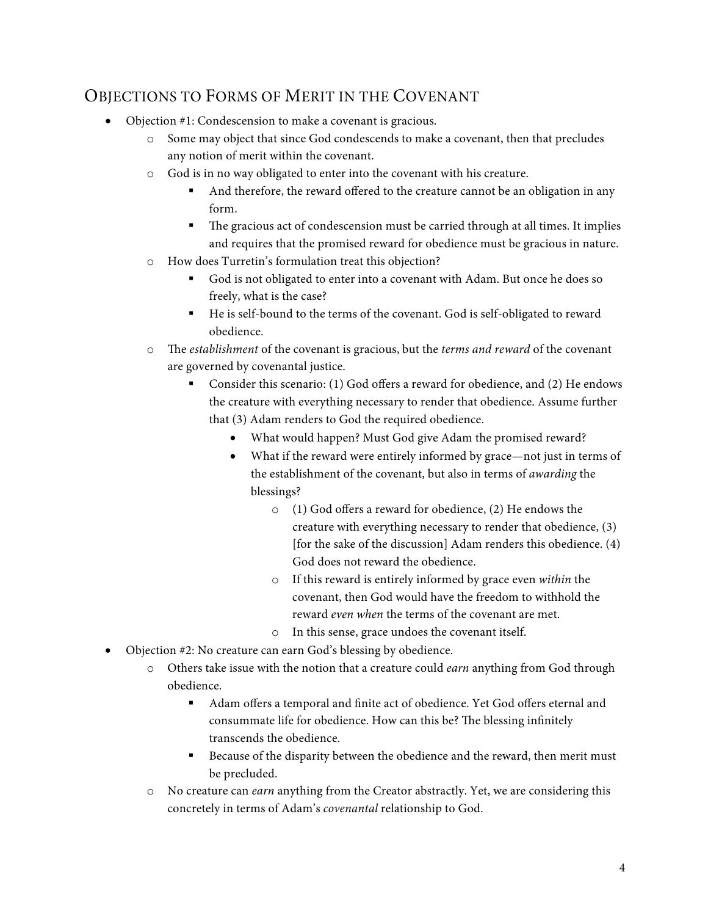## OBJECTIONS TO FORMS OF MERIT IN THE COVENANT

- Objection #1: Condescension to make a covenant is gracious.
	- o Some may object that since God condescends to make a covenant, then that precludes any notion of merit within the covenant.
	- o God is in no way obligated to enter into the covenant with his creature.
		- And therefore, the reward offered to the creature cannot be an obligation in any form.
		- The gracious act of condescension must be carried through at all times. It implies and requires that the promised reward for obedience must be gracious in nature.
	- o How does Turretin's formulation treat this objection?
		- § God is not obligated to enter into a covenant with Adam. But once he does so freely, what is the case?
		- He is self-bound to the terms of the covenant. God is self-obligated to reward obedience.
	- o The *establishment* of the covenant is gracious, but the *terms and reward* of the covenant are governed by covenantal justice.
		- § Consider this scenario: (1) God offers a reward for obedience, and (2) He endows the creature with everything necessary to render that obedience. Assume further that (3) Adam renders to God the required obedience.
			- What would happen? Must God give Adam the promised reward?
			- What if the reward were entirely informed by grace—not just in terms of the establishment of the covenant, but also in terms of *awarding* the blessings?
				- o (1) God offers a reward for obedience, (2) He endows the creature with everything necessary to render that obedience, (3) [for the sake of the discussion] Adam renders this obedience. (4) God does not reward the obedience.
				- o If this reward is entirely informed by grace even *within* the covenant, then God would have the freedom to withhold the reward *even when* the terms of the covenant are met.
				- o In this sense, grace undoes the covenant itself.
- Objection #2: No creature can earn God's blessing by obedience.
	- o Others take issue with the notion that a creature could *earn* anything from God through obedience.
		- § Adam offers a temporal and finite act of obedience. Yet God offers eternal and consummate life for obedience. How can this be? The blessing infinitely transcends the obedience.
		- Because of the disparity between the obedience and the reward, then merit must be precluded.
	- o No creature can *earn* anything from the Creator abstractly. Yet, we are considering this concretely in terms of Adam's *covenantal* relationship to God.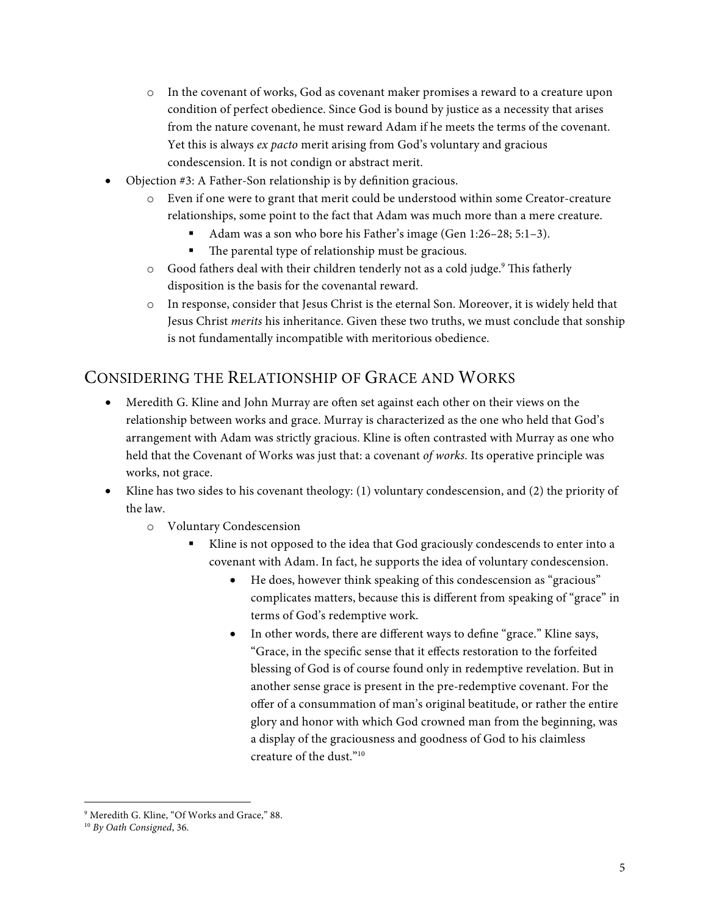- o In the covenant of works, God as covenant maker promises a reward to a creature upon condition of perfect obedience. Since God is bound by justice as a necessity that arises from the nature covenant, he must reward Adam if he meets the terms of the covenant. Yet this is always *ex pacto* merit arising from God's voluntary and gracious condescension. It is not condign or abstract merit.
- Objection #3: A Father-Son relationship is by definition gracious.
	- o Even if one were to grant that merit could be understood within some Creator-creature relationships, some point to the fact that Adam was much more than a mere creature.
		- § Adam was a son who bore his Father's image (Gen 1:26–28; 5:1–3).
		- The parental type of relationship must be gracious.
	- $\circ$  Good fathers deal with their children tenderly not as a cold judge.<sup>9</sup> This fatherly disposition is the basis for the covenantal reward.
	- o In response, consider that Jesus Christ is the eternal Son. Moreover, it is widely held that Jesus Christ *merits* his inheritance. Given these two truths, we must conclude that sonship is not fundamentally incompatible with meritorious obedience.

### CONSIDERING THE RELATIONSHIP OF GRACE AND WORKS

- Meredith G. Kline and John Murray are often set against each other on their views on the relationship between works and grace. Murray is characterized as the one who held that God's arrangement with Adam was strictly gracious. Kline is often contrasted with Murray as one who held that the Covenant of Works was just that: a covenant *of works.* Its operative principle was works, not grace.
- Kline has two sides to his covenant theology: (1) voluntary condescension, and (2) the priority of the law.
	- o Voluntary Condescension
		- Kline is not opposed to the idea that God graciously condescends to enter into a covenant with Adam. In fact, he supports the idea of voluntary condescension.
			- He does, however think speaking of this condescension as "gracious" complicates matters, because this is different from speaking of "grace" in terms of God's redemptive work.
			- In other words, there are different ways to define "grace." Kline says, "Grace, in the specific sense that it effects restoration to the forfeited blessing of God is of course found only in redemptive revelation. But in another sense grace is present in the pre-redemptive covenant. For the offer of a consummation of man's original beatitude, or rather the entire glory and honor with which God crowned man from the beginning, was a display of the graciousness and goodness of God to his claimless creature of the dust."10

 <sup>9</sup> Meredith G. Kline, "Of Works and Grace," 88.

<sup>10</sup> *By Oath Consigned*, 36.